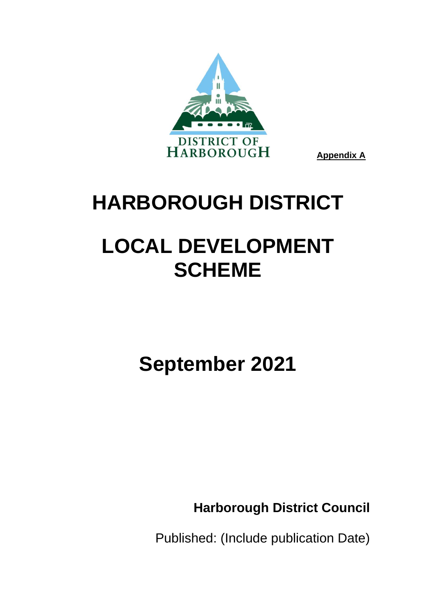

# **HARBOROUGH DISTRICT**

# **LOCAL DEVELOPMENT SCHEME**

# **September 2021**

**Harborough District Council**

Published: (Include publication Date)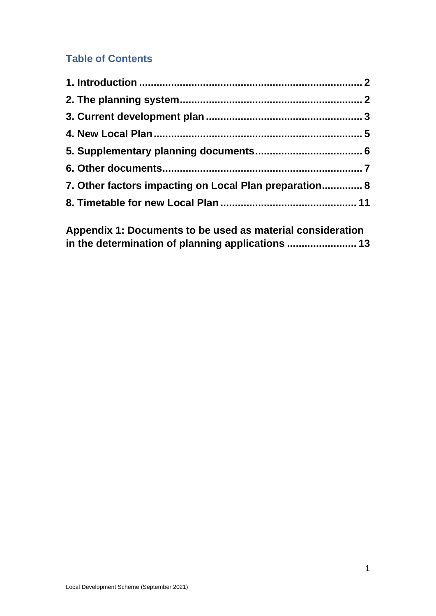# **Table of Contents**

| 7. Other factors impacting on Local Plan preparation 8 |  |
|--------------------------------------------------------|--|
|                                                        |  |
|                                                        |  |

**Appendix 1: Documents to be used as material consideration in the determination of planning applications ........................ 13**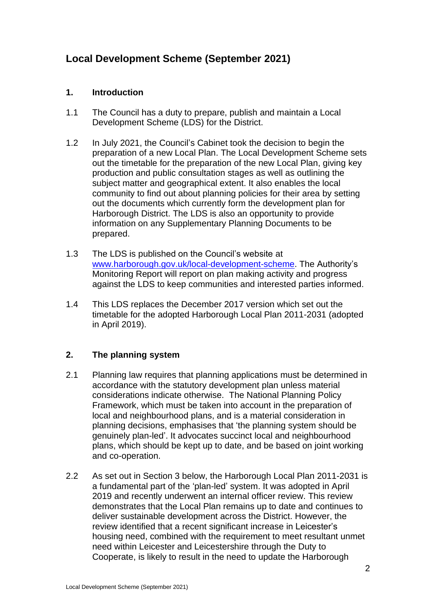# **Local Development Scheme (September 2021)**

## **1. Introduction**

- 1.1 The Council has a duty to prepare, publish and maintain a Local Development Scheme (LDS) for the District.
- 1.2 In July 2021, the Council's Cabinet took the decision to begin the preparation of a new Local Plan. The Local Development Scheme sets out the timetable for the preparation of the new Local Plan, giving key production and public consultation stages as well as outlining the subject matter and geographical extent. It also enables the local community to find out about planning policies for their area by setting out the documents which currently form the development plan for Harborough District. The LDS is also an opportunity to provide information on any Supplementary Planning Documents to be prepared.
- 1.3 The LDS is published on the Council's website at [www.harborough.gov.uk/local-development-scheme.](http://www.harborough.gov.uk/local-development-scheme) The Authority's Monitoring Report will report on plan making activity and progress against the LDS to keep communities and interested parties informed.
- 1.4 This LDS replaces the December 2017 version which set out the timetable for the adopted Harborough Local Plan 2011-2031 (adopted in April 2019).

# **2. The planning system**

- 2.1 Planning law requires that planning applications must be determined in accordance with the statutory development plan unless material considerations indicate otherwise. The National Planning Policy Framework, which must be taken into account in the preparation of local and neighbourhood plans, and is a material consideration in planning decisions, emphasises that 'the planning system should be genuinely plan-led'. It advocates succinct local and neighbourhood plans, which should be kept up to date, and be based on joint working and co-operation.
- 2.2 As set out in Section 3 below, the Harborough Local Plan 2011-2031 is a fundamental part of the 'plan-led' system. It was adopted in April 2019 and recently underwent an internal officer review. This review demonstrates that the Local Plan remains up to date and continues to deliver sustainable development across the District. However, the review identified that a recent significant increase in Leicester's housing need, combined with the requirement to meet resultant unmet need within Leicester and Leicestershire through the Duty to Cooperate, is likely to result in the need to update the Harborough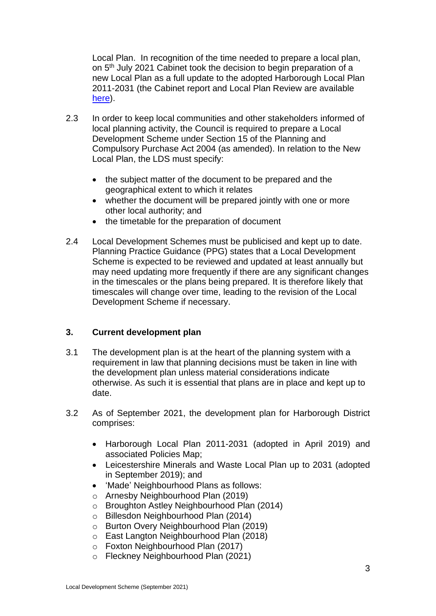Local Plan. In recognition of the time needed to prepare a local plan, on 5<sup>th</sup> July 2021 Cabinet took the decision to begin preparation of a new Local Plan as a full update to the adopted Harborough Local Plan 2011-2031 (the Cabinet report and Local Plan Review are available [here\)](https://cmis.harborough.gov.uk/cmis5/Meetings/tabid/73/ctl/ViewMeetingPublic/mid/410/Meeting/5605/Committee/807/Default.aspx).

- 2.3 In order to keep local communities and other stakeholders informed of local planning activity, the Council is required to prepare a Local Development Scheme under Section 15 of the Planning and Compulsory Purchase Act 2004 (as amended). In relation to the New Local Plan, the LDS must specify:
	- the subject matter of the document to be prepared and the geographical extent to which it relates
	- whether the document will be prepared jointly with one or more other local authority; and
	- the timetable for the preparation of document
- 2.4 Local Development Schemes must be publicised and kept up to date. Planning Practice Guidance (PPG) states that a Local Development Scheme is expected to be reviewed and updated at least annually but may need updating more frequently if there are any significant changes in the timescales or the plans being prepared. It is therefore likely that timescales will change over time, leading to the revision of the Local Development Scheme if necessary.

# **3. Current development plan**

- 3.1 The development plan is at the heart of the planning system with a requirement in law that planning decisions must be taken in line with the development plan unless material considerations indicate otherwise. As such it is essential that plans are in place and kept up to date.
- 3.2 As of September 2021, the development plan for Harborough District comprises:
	- Harborough Local Plan 2011-2031 (adopted in April 2019) and associated Policies Map;
	- Leicestershire Minerals and Waste Local Plan up to 2031 (adopted in September 2019); and
	- 'Made' Neighbourhood Plans as follows:
	- o Arnesby Neighbourhood Plan (2019)
	- o Broughton Astley Neighbourhood Plan (2014)
	- o Billesdon Neighbourhood Plan (2014)
	- o Burton Overy Neighbourhood Plan (2019)
	- o East Langton Neighbourhood Plan (2018)
	- o Foxton Neighbourhood Plan (2017)
	- o Fleckney Neighbourhood Plan (2021)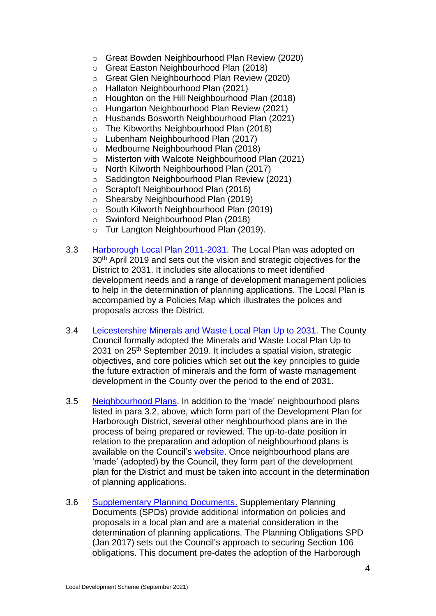- o Great Bowden Neighbourhood Plan Review (2020)
- o Great Easton Neighbourhood Plan (2018)
- o Great Glen Neighbourhood Plan Review (2020)
- o Hallaton Neighbourhood Plan (2021)
- o Houghton on the Hill Neighbourhood Plan (2018)
- o Hungarton Neighbourhood Plan Review (2021)
- o Husbands Bosworth Neighbourhood Plan (2021)
- o The Kibworths Neighbourhood Plan (2018)
- o Lubenham Neighbourhood Plan (2017)
- o Medbourne Neighbourhood Plan (2018)
- o Misterton with Walcote Neighbourhood Plan (2021)
- o North Kilworth Neighbourhood Plan (2017)
- o Saddington Neighbourhood Plan Review (2021)
- o Scraptoft Neighbourhood Plan (2016)
- o Shearsby Neighbourhood Plan (2019)
- o South Kilworth Neighbourhood Plan (2019)
- o Swinford Neighbourhood Plan (2018)
- o Tur Langton Neighbourhood Plan (2019).
- 3.3 [Harborough Local Plan 2011-2031.](https://www.harborough.gov.uk/local-plan) The Local Plan was adopted on 30<sup>th</sup> April 2019 and sets out the vision and strategic objectives for the District to 2031. It includes site allocations to meet identified development needs and a range of development management policies to help in the determination of planning applications. The Local Plan is accompanied by a Policies Map which illustrates the polices and proposals across the District.
- 3.4 [Leicestershire Minerals and Waste](https://www.leicestershire.gov.uk/environment-and-planning/planning/minerals-and-waste-local-plan/local-plan-adoption) Local Plan Up to 2031. The County Council formally adopted the Minerals and Waste Local Plan Up to 2031 on 25<sup>th</sup> September 2019. It includes a spatial vision, strategic objectives, and core policies which set out the key principles to guide the future extraction of minerals and the form of waste management development in the County over the period to the end of 2031.
- 3.5 [Neighbourhood Plans.](https://www.harborough.gov.uk/neighbourhood-planning) In addition to the 'made' neighbourhood plans listed in para 3.2, above, which form part of the Development Plan for Harborough District, several other neighbourhood plans are in the process of being prepared or reviewed. The up-to-date position in relation to the preparation and adoption of neighbourhood plans is available on the Council's [website.](http://www.harborough.gov.uk/neighbourhood-planning) Once neighbourhood plans are 'made' (adopted) by the Council, they form part of the development plan for the District and must be taken into account in the determination of planning applications.
- 3.6 [Supplementary Planning Documents.](https://www.harborough.gov.uk/directory_record/559/section_106_planning_guidance) Supplementary Planning Documents (SPDs) provide additional information on policies and proposals in a local plan and are a material consideration in the determination of planning applications. The Planning Obligations SPD (Jan 2017) sets out the Council's approach to securing Section 106 obligations. This document pre-dates the adoption of the Harborough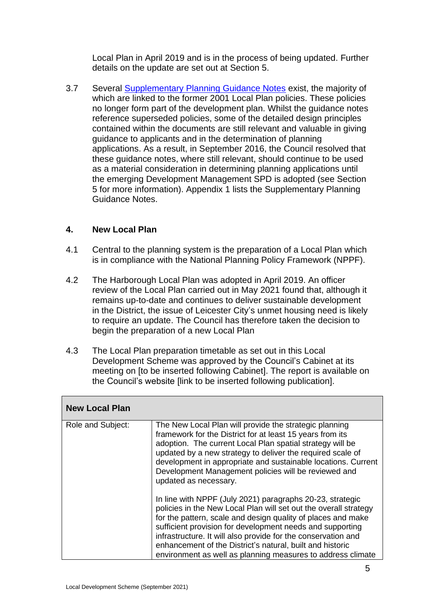Local Plan in April 2019 and is in the process of being updated. Further details on the update are set out at Section 5.

3.7 Several [Supplementary Planning Guidance Notes](http://www.harborough.gov.uk/directory_record/461/supplementary_planning_guidance_notes) exist, the majority of which are linked to the former 2001 Local Plan policies. These policies no longer form part of the development plan. Whilst the guidance notes reference superseded policies, some of the detailed design principles contained within the documents are still relevant and valuable in giving guidance to applicants and in the determination of planning applications. As a result, in September 2016, the Council resolved that these guidance notes, where still relevant, should continue to be used as a material consideration in determining planning applications until the emerging Development Management SPD is adopted (see Section 5 for more information). Appendix 1 lists the Supplementary Planning Guidance Notes.

## **4. New Local Plan**

- 4.1 Central to the planning system is the preparation of a Local Plan which is in compliance with the National Planning Policy Framework (NPPF).
- 4.2 The Harborough Local Plan was adopted in April 2019. An officer review of the Local Plan carried out in May 2021 found that, although it remains up-to-date and continues to deliver sustainable development in the District, the issue of Leicester City's unmet housing need is likely to require an update. The Council has therefore taken the decision to begin the preparation of a new Local Plan
- 4.3 The Local Plan preparation timetable as set out in this Local Development Scheme was approved by the Council's Cabinet at its meeting on [to be inserted following Cabinet]. The report is available on the Council's website [link to be inserted following publication].

| <b>New Local Plan</b> |                                                                                                                                                                                                                                                                                                                                                                                                                                                         |
|-----------------------|---------------------------------------------------------------------------------------------------------------------------------------------------------------------------------------------------------------------------------------------------------------------------------------------------------------------------------------------------------------------------------------------------------------------------------------------------------|
| Role and Subject:     | The New Local Plan will provide the strategic planning<br>framework for the District for at least 15 years from its<br>adoption. The current Local Plan spatial strategy will be<br>updated by a new strategy to deliver the required scale of<br>development in appropriate and sustainable locations. Current<br>Development Management policies will be reviewed and<br>updated as necessary.                                                        |
|                       | In line with NPPF (July 2021) paragraphs 20-23, strategic<br>policies in the New Local Plan will set out the overall strategy<br>for the pattern, scale and design quality of places and make<br>sufficient provision for development needs and supporting<br>infrastructure. It will also provide for the conservation and<br>enhancement of the District's natural, built and historic<br>environment as well as planning measures to address climate |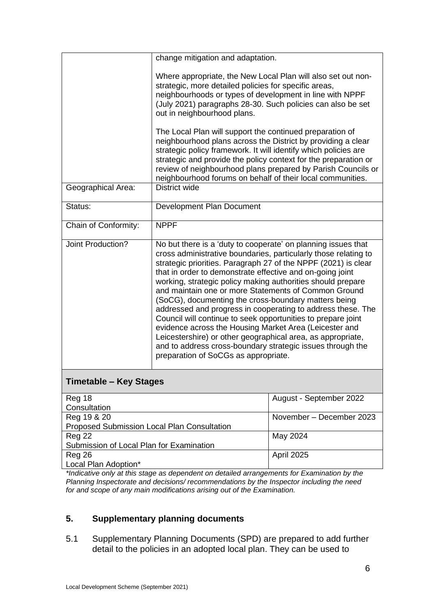|                               | change mitigation and adaptation.                                                                                                                                                                                                                                                                                                                                                                                                                                                                                                                                                                                                                                                                                                                                                                            |                                                              |
|-------------------------------|--------------------------------------------------------------------------------------------------------------------------------------------------------------------------------------------------------------------------------------------------------------------------------------------------------------------------------------------------------------------------------------------------------------------------------------------------------------------------------------------------------------------------------------------------------------------------------------------------------------------------------------------------------------------------------------------------------------------------------------------------------------------------------------------------------------|--------------------------------------------------------------|
|                               | Where appropriate, the New Local Plan will also set out non-<br>strategic, more detailed policies for specific areas,<br>neighbourhoods or types of development in line with NPPF<br>(July 2021) paragraphs 28-30. Such policies can also be set<br>out in neighbourhood plans.                                                                                                                                                                                                                                                                                                                                                                                                                                                                                                                              |                                                              |
|                               | The Local Plan will support the continued preparation of<br>neighbourhood plans across the District by providing a clear<br>strategic policy framework. It will identify which policies are<br>strategic and provide the policy context for the preparation or<br>neighbourhood forums on behalf of their local communities.                                                                                                                                                                                                                                                                                                                                                                                                                                                                                 | review of neighbourhood plans prepared by Parish Councils or |
| Geographical Area:            | <b>District wide</b>                                                                                                                                                                                                                                                                                                                                                                                                                                                                                                                                                                                                                                                                                                                                                                                         |                                                              |
| Status:                       | Development Plan Document                                                                                                                                                                                                                                                                                                                                                                                                                                                                                                                                                                                                                                                                                                                                                                                    |                                                              |
| Chain of Conformity:          | <b>NPPF</b>                                                                                                                                                                                                                                                                                                                                                                                                                                                                                                                                                                                                                                                                                                                                                                                                  |                                                              |
| Joint Production?             | No but there is a 'duty to cooperate' on planning issues that<br>cross administrative boundaries, particularly those relating to<br>strategic priorities. Paragraph 27 of the NPPF (2021) is clear<br>that in order to demonstrate effective and on-going joint<br>working, strategic policy making authorities should prepare<br>and maintain one or more Statements of Common Ground<br>(SoCG), documenting the cross-boundary matters being<br>addressed and progress in cooperating to address these. The<br>Council will continue to seek opportunities to prepare joint<br>evidence across the Housing Market Area (Leicester and<br>Leicestershire) or other geographical area, as appropriate,<br>and to address cross-boundary strategic issues through the<br>preparation of SoCGs as appropriate. |                                                              |
| <b>Timetable - Key Stages</b> |                                                                                                                                                                                                                                                                                                                                                                                                                                                                                                                                                                                                                                                                                                                                                                                                              |                                                              |
| Reg 18                        |                                                                                                                                                                                                                                                                                                                                                                                                                                                                                                                                                                                                                                                                                                                                                                                                              | August - September 2022                                      |

| Reg 18                                      | August - September 2022  |
|---------------------------------------------|--------------------------|
| Consultation                                |                          |
| Reg 19 & 20                                 | November - December 2023 |
| Proposed Submission Local Plan Consultation |                          |
| <b>Reg 22</b>                               | May 2024                 |
| Submission of Local Plan for Examination    |                          |
| Reg 26                                      | <b>April 2025</b>        |
| Local Plan Adoption*                        |                          |

*\*Indicative only at this stage as dependent on detailed arrangements for Examination by the Planning Inspectorate and decisions/ recommendations by the Inspector including the need for and scope of any main modifications arising out of the Examination.*

# **5. Supplementary planning documents**

5.1 Supplementary Planning Documents (SPD) are prepared to add further detail to the policies in an adopted local plan. They can be used to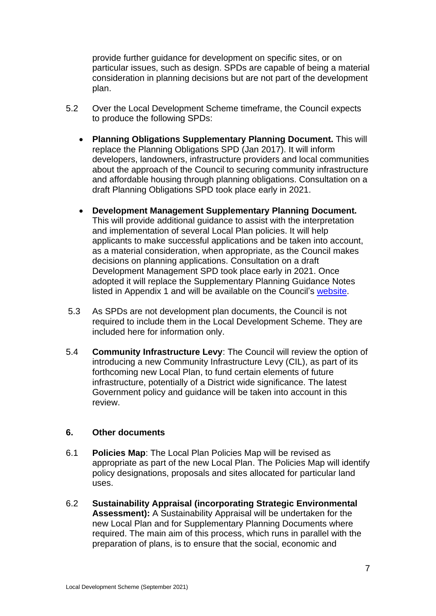provide further guidance for development on specific sites, or on particular issues, such as design. SPDs are capable of being a material consideration in planning decisions but are not part of the development plan.

- 5.2 Over the Local Development Scheme timeframe, the Council expects to produce the following SPDs:
	- **Planning Obligations Supplementary Planning Document.** This will replace the Planning Obligations SPD (Jan 2017). It will inform developers, landowners, infrastructure providers and local communities about the approach of the Council to securing community infrastructure and affordable housing through planning obligations. Consultation on a draft Planning Obligations SPD took place early in 2021.
	- **Development Management Supplementary Planning Document.**  This will provide additional guidance to assist with the interpretation and implementation of several Local Plan policies. It will help applicants to make successful applications and be taken into account, as a material consideration, when appropriate, as the Council makes decisions on planning applications. Consultation on a draft Development Management SPD took place early in 2021. Once adopted it will replace the Supplementary Planning Guidance Notes listed in Appendix 1 and will be available on the Council's [website.](https://www.harborough.gov.uk/local-plan)
- 5.3 As SPDs are not development plan documents, the Council is not required to include them in the Local Development Scheme. They are included here for information only.
- 5.4 **Community Infrastructure Levy**: The Council will review the option of introducing a new Community Infrastructure Levy (CIL), as part of its forthcoming new Local Plan, to fund certain elements of future infrastructure, potentially of a District wide significance. The latest Government policy and guidance will be taken into account in this review.

#### **6. Other documents**

- 6.1 **Policies Map**: The Local Plan Policies Map will be revised as appropriate as part of the new Local Plan. The Policies Map will identify policy designations, proposals and sites allocated for particular land uses.
- 6.2 **Sustainability Appraisal (incorporating Strategic Environmental Assessment):** A Sustainability Appraisal will be undertaken for the new Local Plan and for Supplementary Planning Documents where required. The main aim of this process, which runs in parallel with the preparation of plans, is to ensure that the social, economic and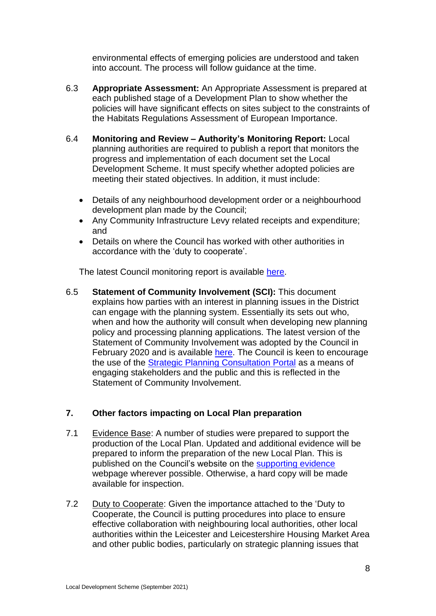environmental effects of emerging policies are understood and taken into account. The process will follow guidance at the time.

- 6.3 **Appropriate Assessment:** An Appropriate Assessment is prepared at each published stage of a Development Plan to show whether the policies will have significant effects on sites subject to the constraints of the Habitats Regulations Assessment of European Importance.
- 6.4 **Monitoring and Review – Authority's Monitoring Report:** Local planning authorities are required to publish a report that monitors the progress and implementation of each document set the Local Development Scheme. It must specify whether adopted policies are meeting their stated objectives. In addition, it must include:
	- Details of any neighbourhood development order or a neighbourhood development plan made by the Council;
	- Any Community Infrastructure Levy related receipts and expenditure; and
	- Details on where the Council has worked with other authorities in accordance with the 'duty to cooperate'.

The latest Council monitoring report is available [here.](http://www.harborough.gov.uk/directory_record/468/monitoring_reports_for_planning_strategy)

6.5 **Statement of Community Involvement (SCI):** This document explains how parties with an interest in planning issues in the District can engage with the planning system. Essentially its sets out who, when and how the authority will consult when developing new planning policy and processing planning applications. The latest version of the Statement of Community Involvement was adopted by the Council in February 2020 and is available [here.](https://www.harborough.gov.uk/directory_record/563/statement_of_community_involvement) The Council is keen to encourage the use of the [Strategic Planning Consultation Portal](https://harborough.jdi-consult.net/ldp/) as a means of engaging stakeholders and the public and this is reflected in the Statement of Community Involvement.

# **7. Other factors impacting on Local Plan preparation**

- 7.1 Evidence Base: A number of studies were prepared to support the production of the Local Plan. Updated and additional evidence will be prepared to inform the preparation of the new Local Plan. This is published on the Council's website on the [supporting evidence](http://www.harborough.gov.uk/supporting-evidence) webpage wherever possible. Otherwise, a hard copy will be made available for inspection.
- 7.2 Duty to Cooperate: Given the importance attached to the 'Duty to Cooperate, the Council is putting procedures into place to ensure effective collaboration with neighbouring local authorities, other local authorities within the Leicester and Leicestershire Housing Market Area and other public bodies, particularly on strategic planning issues that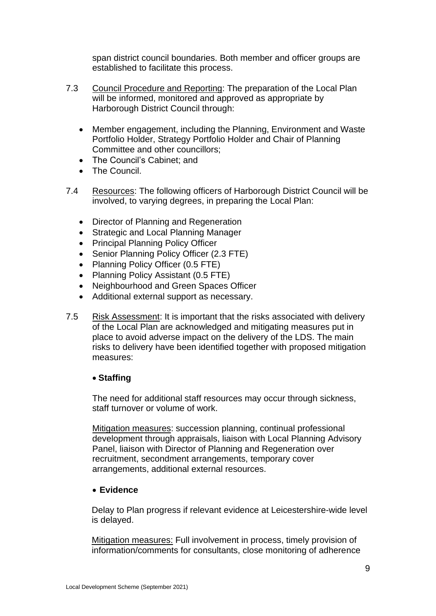span district council boundaries. Both member and officer groups are established to facilitate this process.

- 7.3 Council Procedure and Reporting: The preparation of the Local Plan will be informed, monitored and approved as appropriate by Harborough District Council through:
	- Member engagement, including the Planning, Environment and Waste Portfolio Holder, Strategy Portfolio Holder and Chair of Planning Committee and other councillors;
	- The Council's Cabinet; and
	- The Council.
- 7.4 Resources: The following officers of Harborough District Council will be involved, to varying degrees, in preparing the Local Plan:
	- Director of Planning and Regeneration
	- Strategic and Local Planning Manager
	- Principal Planning Policy Officer
	- Senior Planning Policy Officer (2.3 FTE)
	- Planning Policy Officer (0.5 FTE)
	- Planning Policy Assistant (0.5 FTE)
	- Neighbourhood and Green Spaces Officer
	- Additional external support as necessary.
- 7.5 Risk Assessment: It is important that the risks associated with delivery of the Local Plan are acknowledged and mitigating measures put in place to avoid adverse impact on the delivery of the LDS. The main risks to delivery have been identified together with proposed mitigation measures:

#### • **Staffing**

The need for additional staff resources may occur through sickness, staff turnover or volume of work.

Mitigation measures: succession planning, continual professional development through appraisals, liaison with Local Planning Advisory Panel, liaison with Director of Planning and Regeneration over recruitment, secondment arrangements, temporary cover arrangements, additional external resources.

#### • **Evidence**

Delay to Plan progress if relevant evidence at Leicestershire-wide level is delayed.

Mitigation measures: Full involvement in process, timely provision of information/comments for consultants, close monitoring of adherence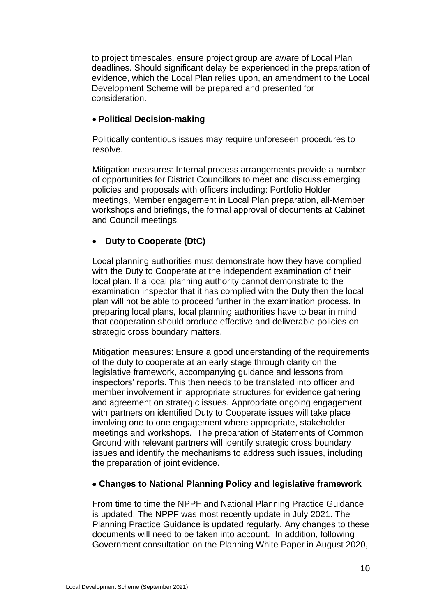to project timescales, ensure project group are aware of Local Plan deadlines. Should significant delay be experienced in the preparation of evidence, which the Local Plan relies upon, an amendment to the Local Development Scheme will be prepared and presented for consideration.

#### • **Political Decision-making**

Politically contentious issues may require unforeseen procedures to resolve.

Mitigation measures: Internal process arrangements provide a number of opportunities for District Councillors to meet and discuss emerging policies and proposals with officers including: Portfolio Holder meetings, Member engagement in Local Plan preparation, all-Member workshops and briefings, the formal approval of documents at Cabinet and Council meetings.

#### • **Duty to Cooperate (DtC)**

Local planning authorities must demonstrate how they have complied with the Duty to Cooperate at the independent examination of their local plan. If a local planning authority cannot demonstrate to the examination inspector that it has complied with the Duty then the local plan will not be able to proceed further in the examination process. In preparing local plans, local planning authorities have to bear in mind that cooperation should produce effective and deliverable policies on strategic cross boundary matters.

Mitigation measures: Ensure a good understanding of the requirements of the duty to cooperate at an early stage through clarity on the legislative framework, accompanying guidance and lessons from inspectors' reports. This then needs to be translated into officer and member involvement in appropriate structures for evidence gathering and agreement on strategic issues. Appropriate ongoing engagement with partners on identified Duty to Cooperate issues will take place involving one to one engagement where appropriate, stakeholder meetings and workshops. The preparation of Statements of Common Ground with relevant partners will identify strategic cross boundary issues and identify the mechanisms to address such issues, including the preparation of joint evidence.

#### • **Changes to National Planning Policy and legislative framework**

From time to time the NPPF and National Planning Practice Guidance is updated. The NPPF was most recently update in July 2021. The Planning Practice Guidance is updated regularly. Any changes to these documents will need to be taken into account. In addition, following Government consultation on the Planning White Paper in August 2020,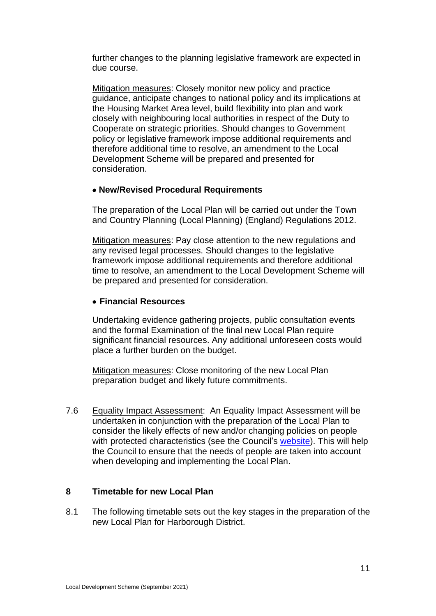further changes to the planning legislative framework are expected in due course.

Mitigation measures: Closely monitor new policy and practice guidance, anticipate changes to national policy and its implications at the Housing Market Area level, build flexibility into plan and work closely with neighbouring local authorities in respect of the Duty to Cooperate on strategic priorities. Should changes to Government policy or legislative framework impose additional requirements and therefore additional time to resolve, an amendment to the Local Development Scheme will be prepared and presented for consideration.

## • **New/Revised Procedural Requirements**

The preparation of the Local Plan will be carried out under the Town and Country Planning (Local Planning) (England) Regulations 2012.

Mitigation measures: Pay close attention to the new regulations and any revised legal processes. Should changes to the legislative framework impose additional requirements and therefore additional time to resolve, an amendment to the Local Development Scheme will be prepared and presented for consideration.

## • **Financial Resources**

Undertaking evidence gathering projects, public consultation events and the formal Examination of the final new Local Plan require significant financial resources. Any additional unforeseen costs would place a further burden on the budget.

Mitigation measures: Close monitoring of the new Local Plan preparation budget and likely future commitments.

7.6 Equality Impact Assessment: An Equality Impact Assessment will be undertaken in conjunction with the preparation of the Local Plan to consider the likely effects of new and/or changing policies on people with protected characteristics (see the Council's [website\)](http://www.harborough.gov.uk/local-plan). This will help the Council to ensure that the needs of people are taken into account when developing and implementing the Local Plan.

#### **8 Timetable for new Local Plan**

8.1 The following timetable sets out the key stages in the preparation of the new Local Plan for Harborough District.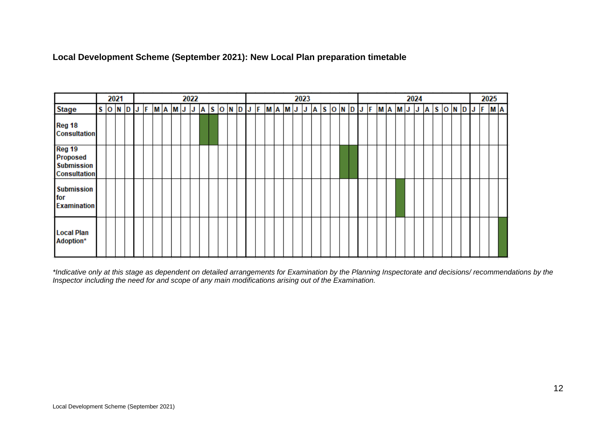**Local Development Scheme (September 2021): New Local Plan preparation timetable** 

|                                                                       |  | 2021 |  | 2022<br>2023<br>2024 |  |  |  |  |  |  |  |  |  |  |  |  |  | 2025 |  |  |  |  |  |  |  |  |  |  |  |  |  |                                                            |
|-----------------------------------------------------------------------|--|------|--|----------------------|--|--|--|--|--|--|--|--|--|--|--|--|--|------|--|--|--|--|--|--|--|--|--|--|--|--|--|------------------------------------------------------------|
| <b>Stage</b>                                                          |  |      |  |                      |  |  |  |  |  |  |  |  |  |  |  |  |  |      |  |  |  |  |  |  |  |  |  |  |  |  |  | SONDJFMAMJJASONDJFMAMJJASONDJFMAMJJJASONDJFMAMJJFASONDJFMA |
| Reg 18<br><b>Consultation</b>                                         |  |      |  |                      |  |  |  |  |  |  |  |  |  |  |  |  |  |      |  |  |  |  |  |  |  |  |  |  |  |  |  |                                                            |
| Reg 19<br><b>Proposed</b><br><b>Submission</b><br><b>Consultation</b> |  |      |  |                      |  |  |  |  |  |  |  |  |  |  |  |  |  |      |  |  |  |  |  |  |  |  |  |  |  |  |  |                                                            |
| <b>Submission</b><br>for<br><b>Examination</b>                        |  |      |  |                      |  |  |  |  |  |  |  |  |  |  |  |  |  |      |  |  |  |  |  |  |  |  |  |  |  |  |  |                                                            |
| <b>Local Plan</b><br>Adoption*                                        |  |      |  |                      |  |  |  |  |  |  |  |  |  |  |  |  |  |      |  |  |  |  |  |  |  |  |  |  |  |  |  |                                                            |

*\*Indicative only at this stage as dependent on detailed arrangements for Examination by the Planning Inspectorate and decisions/ recommendations by the Inspector including the need for and scope of any main modifications arising out of the Examination.*